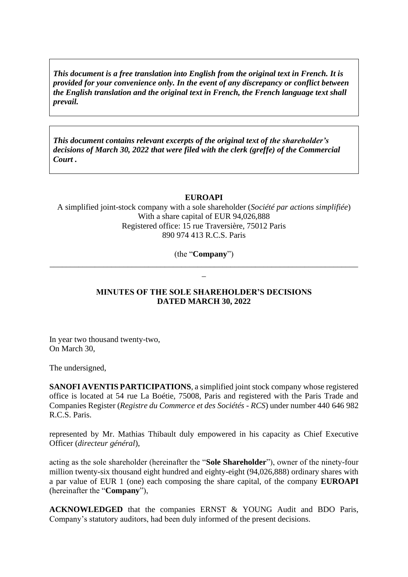*This document is a free translation into English from the original text in French. It is provided for your convenience only. In the event of any discrepancy or conflict between the English translation and the original text in French, the French language text shall prevail.* 

*This document contains relevant excerpts of the original text of the shareholder's decisions of March 30, 2022 that were filed with the clerk (greffe) of the Commercial Court .*

#### **EUROAPI**

A simplified joint-stock company with a sole shareholder (*Société par actions simplifiée*) With a share capital of EUR 94,026,888 Registered office: 15 rue Traversière, 75012 Paris 890 974 413 R.C.S. Paris

(the "**Company**") \_\_\_\_\_\_\_\_\_\_\_\_\_\_\_\_\_\_\_\_\_\_\_\_\_\_\_\_\_\_\_\_\_\_\_\_\_\_\_\_\_\_\_\_\_\_\_\_\_\_\_\_\_\_\_\_\_\_\_\_\_\_\_\_\_\_\_\_\_\_\_\_\_\_\_

 $\overline{a}$ 

## **MINUTES OF THE SOLE SHAREHOLDER'S DECISIONS DATED MARCH 30, 2022**

In year two thousand twenty-two, On March 30,

The undersigned,

**SANOFI AVENTIS PARTICIPATIONS**, a simplified joint stock company whose registered office is located at 54 rue La Boétie, 75008, Paris and registered with the Paris Trade and Companies Register (*Registre du Commerce et des Sociétés - RCS*) under number 440 646 982 R.C.S. Paris.

represented by Mr. Mathias Thibault duly empowered in his capacity as Chief Executive Officer (*directeur général*),

acting as the sole shareholder (hereinafter the "**Sole Shareholder**"), owner of the ninety-four million twenty-six thousand eight hundred and eighty-eight (94,026,888) ordinary shares with a par value of EUR 1 (one) each composing the share capital, of the company **EUROAPI** (hereinafter the "**Company**"),

**ACKNOWLEDGED** that the companies ERNST & YOUNG Audit and BDO Paris, Company's statutory auditors, had been duly informed of the present decisions.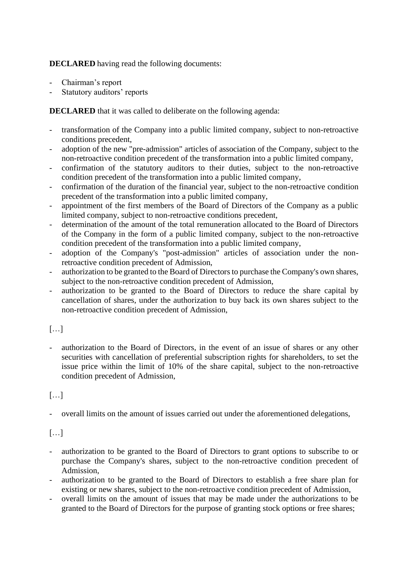**DECLARED** having read the following documents:

- Chairman's report
- Statutory auditors' reports

**DECLARED** that it was called to deliberate on the following agenda:

- transformation of the Company into a public limited company, subject to non-retroactive conditions precedent,
- adoption of the new "pre-admission" articles of association of the Company, subject to the non-retroactive condition precedent of the transformation into a public limited company,
- confirmation of the statutory auditors to their duties, subject to the non-retroactive condition precedent of the transformation into a public limited company,
- confirmation of the duration of the financial year, subject to the non-retroactive condition precedent of the transformation into a public limited company,
- appointment of the first members of the Board of Directors of the Company as a public limited company, subject to non-retroactive conditions precedent,
- determination of the amount of the total remuneration allocated to the Board of Directors of the Company in the form of a public limited company, subject to the non-retroactive condition precedent of the transformation into a public limited company,
- adoption of the Company's "post-admission" articles of association under the nonretroactive condition precedent of Admission,
- authorization to be granted to the Board of Directors to purchase the Company's own shares, subject to the non-retroactive condition precedent of Admission,
- authorization to be granted to the Board of Directors to reduce the share capital by cancellation of shares, under the authorization to buy back its own shares subject to the non-retroactive condition precedent of Admission,

# […]

- authorization to the Board of Directors, in the event of an issue of shares or any other securities with cancellation of preferential subscription rights for shareholders, to set the issue price within the limit of 10% of the share capital, subject to the non-retroactive condition precedent of Admission,

# $[\dots]$

- overall limits on the amount of issues carried out under the aforementioned delegations,

# $[...]$

- authorization to be granted to the Board of Directors to grant options to subscribe to or purchase the Company's shares, subject to the non-retroactive condition precedent of Admission,
- authorization to be granted to the Board of Directors to establish a free share plan for existing or new shares, subject to the non-retroactive condition precedent of Admission,
- overall limits on the amount of issues that may be made under the authorizations to be granted to the Board of Directors for the purpose of granting stock options or free shares;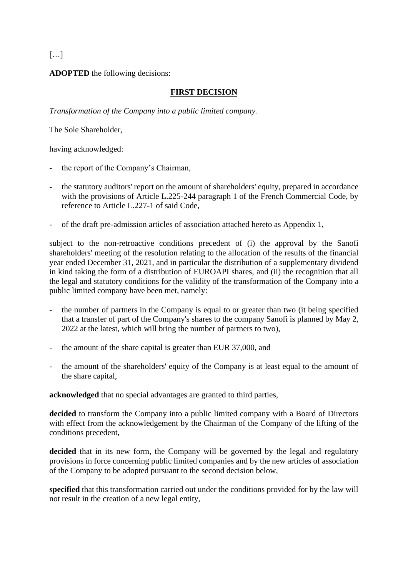# $[\ldots]$

**ADOPTED** the following decisions:

#### **FIRST DECISION**

*Transformation of the Company into a public limited company.*

The Sole Shareholder,

having acknowledged:

- **-** the report of the Company's Chairman,
- **-** the statutory auditors' report on the amount of shareholders' equity, prepared in accordance with the provisions of Article L.225-244 paragraph 1 of the French Commercial Code, by reference to Article L.227-1 of said Code,
- **-** of the draft pre-admission articles of association attached hereto as Appendix 1,

subject to the non-retroactive conditions precedent of (i) the approval by the Sanofi shareholders' meeting of the resolution relating to the allocation of the results of the financial year ended December 31, 2021, and in particular the distribution of a supplementary dividend in kind taking the form of a distribution of EUROAPI shares, and (ii) the recognition that all the legal and statutory conditions for the validity of the transformation of the Company into a public limited company have been met, namely:

- the number of partners in the Company is equal to or greater than two (it being specified that a transfer of part of the Company's shares to the company Sanofi is planned by May 2, 2022 at the latest, which will bring the number of partners to two),
- the amount of the share capital is greater than EUR 37,000, and
- the amount of the shareholders' equity of the Company is at least equal to the amount of the share capital,

**acknowledged** that no special advantages are granted to third parties,

**decided** to transform the Company into a public limited company with a Board of Directors with effect from the acknowledgement by the Chairman of the Company of the lifting of the conditions precedent,

decided that in its new form, the Company will be governed by the legal and regulatory provisions in force concerning public limited companies and by the new articles of association of the Company to be adopted pursuant to the second decision below,

**specified** that this transformation carried out under the conditions provided for by the law will not result in the creation of a new legal entity,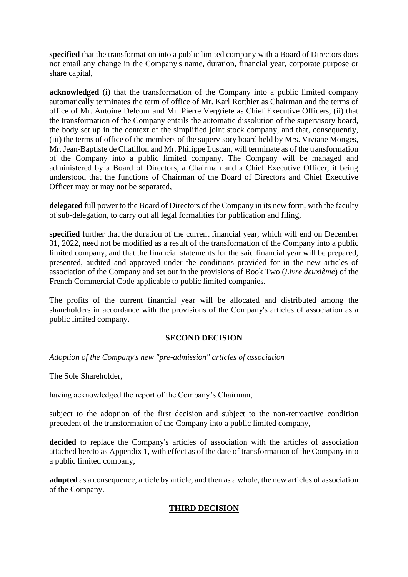**specified** that the transformation into a public limited company with a Board of Directors does not entail any change in the Company's name, duration, financial year, corporate purpose or share capital,

**acknowledged** (i) that the transformation of the Company into a public limited company automatically terminates the term of office of Mr. Karl Rotthier as Chairman and the terms of office of Mr. Antoine Delcour and Mr. Pierre Vergriete as Chief Executive Officers, (ii) that the transformation of the Company entails the automatic dissolution of the supervisory board, the body set up in the context of the simplified joint stock company, and that, consequently, (iii) the terms of office of the members of the supervisory board held by Mrs. Viviane Monges, Mr. Jean-Baptiste de Chatillon and Mr. Philippe Luscan, will terminate as of the transformation of the Company into a public limited company. The Company will be managed and administered by a Board of Directors, a Chairman and a Chief Executive Officer, it being understood that the functions of Chairman of the Board of Directors and Chief Executive Officer may or may not be separated,

**delegated** full power to the Board of Directors of the Company in its new form, with the faculty of sub-delegation, to carry out all legal formalities for publication and filing,

**specified** further that the duration of the current financial year, which will end on December 31, 2022, need not be modified as a result of the transformation of the Company into a public limited company, and that the financial statements for the said financial year will be prepared, presented, audited and approved under the conditions provided for in the new articles of association of the Company and set out in the provisions of Book Two (*Livre deuxième*) of the French Commercial Code applicable to public limited companies.

The profits of the current financial year will be allocated and distributed among the shareholders in accordance with the provisions of the Company's articles of association as a public limited company.

#### **SECOND DECISION**

*Adoption of the Company's new "pre-admission" articles of association*

The Sole Shareholder,

having acknowledged the report of the Company's Chairman,

subject to the adoption of the first decision and subject to the non-retroactive condition precedent of the transformation of the Company into a public limited company,

**decided** to replace the Company's articles of association with the articles of association attached hereto as Appendix 1, with effect as of the date of transformation of the Company into a public limited company,

**adopted** as a consequence, article by article, and then as a whole, the new articles of association of the Company.

## **THIRD DECISION**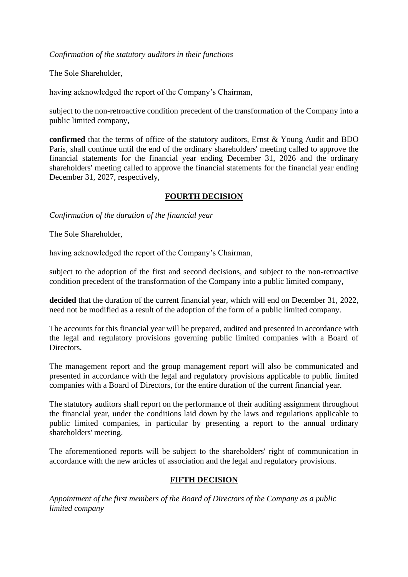#### *Confirmation of the statutory auditors in their functions*

The Sole Shareholder,

having acknowledged the report of the Company's Chairman,

subject to the non-retroactive condition precedent of the transformation of the Company into a public limited company,

**confirmed** that the terms of office of the statutory auditors, Ernst & Young Audit and BDO Paris, shall continue until the end of the ordinary shareholders' meeting called to approve the financial statements for the financial year ending December 31, 2026 and the ordinary shareholders' meeting called to approve the financial statements for the financial year ending December 31, 2027, respectively,

## **FOURTH DECISION**

*Confirmation of the duration of the financial year*

The Sole Shareholder,

having acknowledged the report of the Company's Chairman,

subject to the adoption of the first and second decisions, and subject to the non-retroactive condition precedent of the transformation of the Company into a public limited company,

decided that the duration of the current financial year, which will end on December 31, 2022, need not be modified as a result of the adoption of the form of a public limited company.

The accounts for this financial year will be prepared, audited and presented in accordance with the legal and regulatory provisions governing public limited companies with a Board of Directors.

The management report and the group management report will also be communicated and presented in accordance with the legal and regulatory provisions applicable to public limited companies with a Board of Directors, for the entire duration of the current financial year.

The statutory auditors shall report on the performance of their auditing assignment throughout the financial year, under the conditions laid down by the laws and regulations applicable to public limited companies, in particular by presenting a report to the annual ordinary shareholders' meeting.

The aforementioned reports will be subject to the shareholders' right of communication in accordance with the new articles of association and the legal and regulatory provisions.

#### **FIFTH DECISION**

*Appointment of the first members of the Board of Directors of the Company as a public limited company*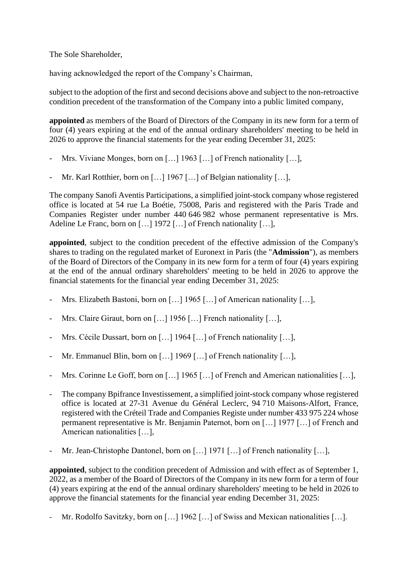The Sole Shareholder,

having acknowledged the report of the Company's Chairman,

subject to the adoption of the first and second decisions above and subject to the non-retroactive condition precedent of the transformation of the Company into a public limited company,

**appointed** as members of the Board of Directors of the Company in its new form for a term of four (4) years expiring at the end of the annual ordinary shareholders' meeting to be held in 2026 to approve the financial statements for the year ending December 31, 2025:

- Mrs. Viviane Monges, born on […] 1963 […] of French nationality […],
- Mr. Karl Rotthier, born on […] 1967 […] of Belgian nationality […],

The company Sanofi Aventis Participations, a simplified joint-stock company whose registered office is located at 54 rue La Boétie, 75008, Paris and registered with the Paris Trade and Companies Register under number 440 646 982 whose permanent representative is Mrs. Adeline Le Franc, born on [...] 1972 [...] of French nationality [...],

**appointed**, subject to the condition precedent of the effective admission of the Company's shares to trading on the regulated market of Euronext in Paris (the "**Admission**"), as members of the Board of Directors of the Company in its new form for a term of four (4) years expiring at the end of the annual ordinary shareholders' meeting to be held in 2026 to approve the financial statements for the financial year ending December 31, 2025:

- Mrs. Elizabeth Bastoni, born on [...] 1965 [...] of American nationality [...],
- Mrs. Claire Giraut, born on […] 1956 […] French nationality […],
- Mrs. Cécile Dussart, born on [...] 1964 [...] of French nationality [...],
- Mr. Emmanuel Blin, born on [...] 1969 [...] of French nationality [...],
- Mrs. Corinne Le Goff, born on [...] 1965 [...] of French and American nationalities [...],
- The company Bpifrance Investissement, a simplified joint-stock company whose registered office is located at 27-31 Avenue du Général Leclerc, 94 710 Maisons-Alfort, France, registered with the Créteil Trade and Companies Registe under number 433 975 224 whose permanent representative is Mr. Benjamin Paternot, born on […] 1977 […] of French and American nationalities […],
- Mr. Jean-Christophe Dantonel, born on […] 1971 […] of French nationality […],

**appointed**, subject to the condition precedent of Admission and with effect as of September 1, 2022, as a member of the Board of Directors of the Company in its new form for a term of four (4) years expiring at the end of the annual ordinary shareholders' meeting to be held in 2026 to approve the financial statements for the financial year ending December 31, 2025:

Mr. Rodolfo Savitzky, born on […] 1962 […] of Swiss and Mexican nationalities […].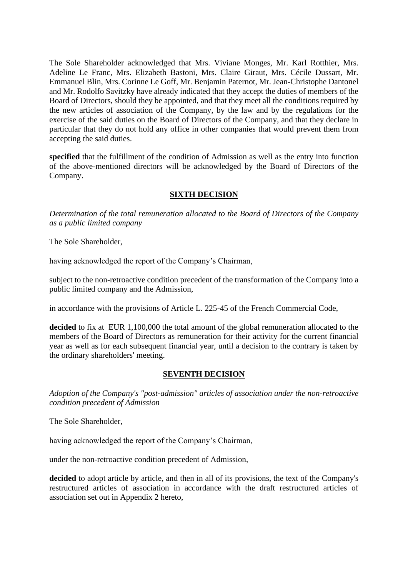The Sole Shareholder acknowledged that Mrs. Viviane Monges, Mr. Karl Rotthier, Mrs. Adeline Le Franc, Mrs. Elizabeth Bastoni, Mrs. Claire Giraut, Mrs. Cécile Dussart, Mr. Emmanuel Blin, Mrs. Corinne Le Goff, Mr. Benjamin Paternot, Mr. Jean-Christophe Dantonel and Mr. Rodolfo Savitzky have already indicated that they accept the duties of members of the Board of Directors, should they be appointed, and that they meet all the conditions required by the new articles of association of the Company, by the law and by the regulations for the exercise of the said duties on the Board of Directors of the Company, and that they declare in particular that they do not hold any office in other companies that would prevent them from accepting the said duties.

**specified** that the fulfillment of the condition of Admission as well as the entry into function of the above-mentioned directors will be acknowledged by the Board of Directors of the Company.

## **SIXTH DECISION**

*Determination of the total remuneration allocated to the Board of Directors of the Company as a public limited company*

The Sole Shareholder,

having acknowledged the report of the Company's Chairman,

subject to the non-retroactive condition precedent of the transformation of the Company into a public limited company and the Admission,

in accordance with the provisions of Article L. 225-45 of the French Commercial Code,

decided to fix at EUR 1,100,000 the total amount of the global remuneration allocated to the members of the Board of Directors as remuneration for their activity for the current financial year as well as for each subsequent financial year, until a decision to the contrary is taken by the ordinary shareholders' meeting.

## **SEVENTH DECISION**

*Adoption of the Company's "post-admission" articles of association under the non-retroactive condition precedent of Admission*

The Sole Shareholder,

having acknowledged the report of the Company's Chairman,

under the non-retroactive condition precedent of Admission,

**decided** to adopt article by article, and then in all of its provisions, the text of the Company's restructured articles of association in accordance with the draft restructured articles of association set out in Appendix 2 hereto,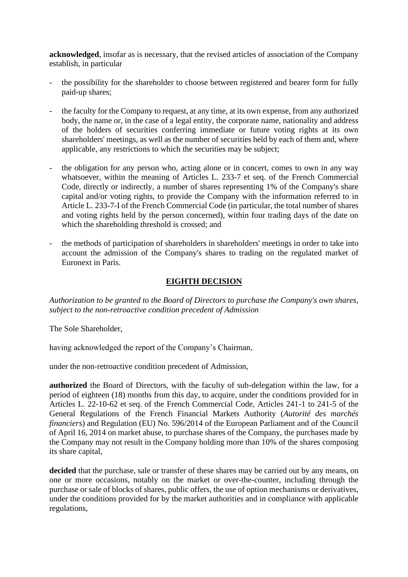**acknowledged**, insofar as is necessary, that the revised articles of association of the Company establish, in particular

- the possibility for the shareholder to choose between registered and bearer form for fully paid-up shares;
- the faculty for the Company to request, at any time, at its own expense, from any authorized body, the name or, in the case of a legal entity, the corporate name, nationality and address of the holders of securities conferring immediate or future voting rights at its own shareholders' meetings, as well as the number of securities held by each of them and, where applicable, any restrictions to which the securities may be subject;
- the obligation for any person who, acting alone or in concert, comes to own in any way whatsoever, within the meaning of Articles L. 233-7 et seq. of the French Commercial Code, directly or indirectly, a number of shares representing 1% of the Company's share capital and/or voting rights, to provide the Company with the information referred to in Article L. 233-7-I of the French Commercial Code (in particular, the total number of shares and voting rights held by the person concerned), within four trading days of the date on which the shareholding threshold is crossed; and
- the methods of participation of shareholders in shareholders' meetings in order to take into account the admission of the Company's shares to trading on the regulated market of Euronext in Paris.

#### **EIGHTH DECISION**

*Authorization to be granted to the Board of Directors to purchase the Company's own shares, subject to the non-retroactive condition precedent of Admission*

The Sole Shareholder,

having acknowledged the report of the Company's Chairman,

under the non-retroactive condition precedent of Admission,

**authorized** the Board of Directors, with the faculty of sub-delegation within the law, for a period of eighteen (18) months from this day, to acquire, under the conditions provided for in Articles L. 22-10-62 et seq. of the French Commercial Code, Articles 241-1 to 241-5 of the General Regulations of the French Financial Markets Authority (*Autorité des marchés financiers*) and Regulation (EU) No. 596/2014 of the European Parliament and of the Council of April 16, 2014 on market abuse, to purchase shares of the Company, the purchases made by the Company may not result in the Company holding more than 10% of the shares composing its share capital,

decided that the purchase, sale or transfer of these shares may be carried out by any means, on one or more occasions, notably on the market or over-the-counter, including through the purchase or sale of blocks of shares, public offers, the use of option mechanisms or derivatives, under the conditions provided for by the market authorities and in compliance with applicable regulations,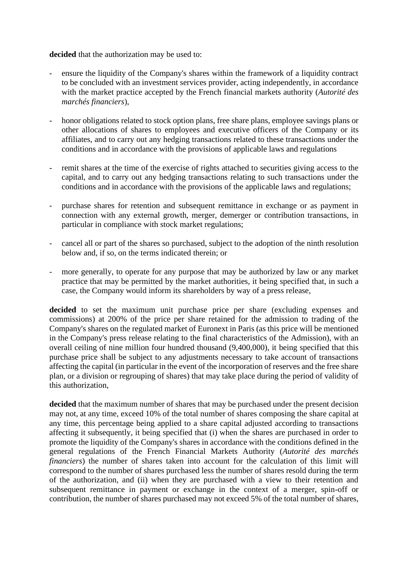**decided** that the authorization may be used to:

- ensure the liquidity of the Company's shares within the framework of a liquidity contract to be concluded with an investment services provider, acting independently, in accordance with the market practice accepted by the French financial markets authority (*Autorité des marchés financiers*),
- honor obligations related to stock option plans, free share plans, employee savings plans or other allocations of shares to employees and executive officers of the Company or its affiliates, and to carry out any hedging transactions related to these transactions under the conditions and in accordance with the provisions of applicable laws and regulations
- remit shares at the time of the exercise of rights attached to securities giving access to the capital, and to carry out any hedging transactions relating to such transactions under the conditions and in accordance with the provisions of the applicable laws and regulations;
- purchase shares for retention and subsequent remittance in exchange or as payment in connection with any external growth, merger, demerger or contribution transactions, in particular in compliance with stock market regulations;
- cancel all or part of the shares so purchased, subject to the adoption of the ninth resolution below and, if so, on the terms indicated therein; or
- more generally, to operate for any purpose that may be authorized by law or any market practice that may be permitted by the market authorities, it being specified that, in such a case, the Company would inform its shareholders by way of a press release,

**decided** to set the maximum unit purchase price per share (excluding expenses and commissions) at 200% of the price per share retained for the admission to trading of the Company's shares on the regulated market of Euronext in Paris (as this price will be mentioned in the Company's press release relating to the final characteristics of the Admission), with an overall ceiling of nine million four hundred thousand (9,400,000), it being specified that this purchase price shall be subject to any adjustments necessary to take account of transactions affecting the capital (in particular in the event of the incorporation of reserves and the free share plan, or a division or regrouping of shares) that may take place during the period of validity of this authorization,

decided that the maximum number of shares that may be purchased under the present decision may not, at any time, exceed 10% of the total number of shares composing the share capital at any time, this percentage being applied to a share capital adjusted according to transactions affecting it subsequently, it being specified that (i) when the shares are purchased in order to promote the liquidity of the Company's shares in accordance with the conditions defined in the general regulations of the French Financial Markets Authority (*Autorité des marchés financiers*) the number of shares taken into account for the calculation of this limit will correspond to the number of shares purchased less the number of shares resold during the term of the authorization, and (ii) when they are purchased with a view to their retention and subsequent remittance in payment or exchange in the context of a merger, spin-off or contribution, the number of shares purchased may not exceed 5% of the total number of shares,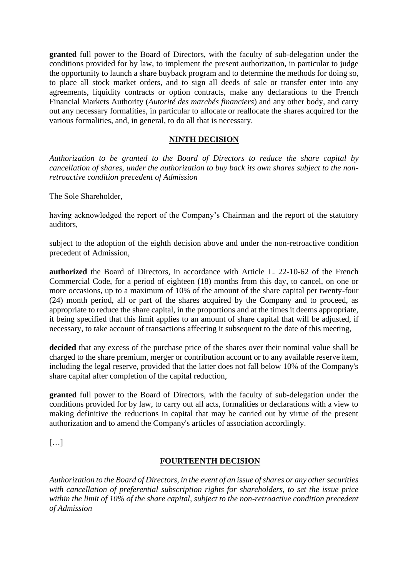**granted** full power to the Board of Directors, with the faculty of sub-delegation under the conditions provided for by law, to implement the present authorization, in particular to judge the opportunity to launch a share buyback program and to determine the methods for doing so, to place all stock market orders, and to sign all deeds of sale or transfer enter into any agreements, liquidity contracts or option contracts, make any declarations to the French Financial Markets Authority (*Autorité des marchés financiers*) and any other body, and carry out any necessary formalities, in particular to allocate or reallocate the shares acquired for the various formalities, and, in general, to do all that is necessary.

## **NINTH DECISION**

*Authorization to be granted to the Board of Directors to reduce the share capital by cancellation of shares, under the authorization to buy back its own shares subject to the nonretroactive condition precedent of Admission*

The Sole Shareholder,

having acknowledged the report of the Company's Chairman and the report of the statutory auditors,

subject to the adoption of the eighth decision above and under the non-retroactive condition precedent of Admission,

**authorized** the Board of Directors, in accordance with Article L. 22-10-62 of the French Commercial Code, for a period of eighteen (18) months from this day, to cancel, on one or more occasions, up to a maximum of 10% of the amount of the share capital per twenty-four (24) month period, all or part of the shares acquired by the Company and to proceed, as appropriate to reduce the share capital, in the proportions and at the times it deems appropriate, it being specified that this limit applies to an amount of share capital that will be adjusted, if necessary, to take account of transactions affecting it subsequent to the date of this meeting,

**decided** that any excess of the purchase price of the shares over their nominal value shall be charged to the share premium, merger or contribution account or to any available reserve item, including the legal reserve, provided that the latter does not fall below 10% of the Company's share capital after completion of the capital reduction,

**granted** full power to the Board of Directors, with the faculty of sub-delegation under the conditions provided for by law, to carry out all acts, formalities or declarations with a view to making definitive the reductions in capital that may be carried out by virtue of the present authorization and to amend the Company's articles of association accordingly.

[…]

#### **FOURTEENTH DECISION**

*Authorization to the Board of Directors, in the event of an issue of shares or any other securities with cancellation of preferential subscription rights for shareholders, to set the issue price within the limit of 10% of the share capital, subject to the non-retroactive condition precedent of Admission*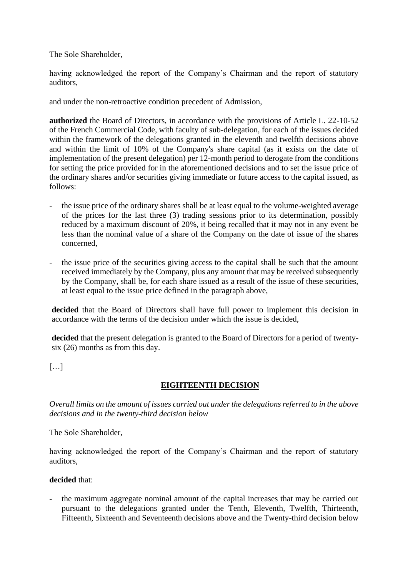The Sole Shareholder,

having acknowledged the report of the Company's Chairman and the report of statutory auditors,

and under the non-retroactive condition precedent of Admission,

**authorized** the Board of Directors, in accordance with the provisions of Article L. 22-10-52 of the French Commercial Code, with faculty of sub-delegation, for each of the issues decided within the framework of the delegations granted in the eleventh and twelfth decisions above and within the limit of 10% of the Company's share capital (as it exists on the date of implementation of the present delegation) per 12-month period to derogate from the conditions for setting the price provided for in the aforementioned decisions and to set the issue price of the ordinary shares and/or securities giving immediate or future access to the capital issued, as follows:

- the issue price of the ordinary shares shall be at least equal to the volume-weighted average of the prices for the last three (3) trading sessions prior to its determination, possibly reduced by a maximum discount of 20%, it being recalled that it may not in any event be less than the nominal value of a share of the Company on the date of issue of the shares concerned,
- the issue price of the securities giving access to the capital shall be such that the amount received immediately by the Company, plus any amount that may be received subsequently by the Company, shall be, for each share issued as a result of the issue of these securities, at least equal to the issue price defined in the paragraph above,

**decided** that the Board of Directors shall have full power to implement this decision in accordance with the terms of the decision under which the issue is decided,

**decided** that the present delegation is granted to the Board of Directors for a period of twentysix (26) months as from this day.

 $[\ldots]$ 

## **EIGHTEENTH DECISION**

*Overall limits on the amount of issues carried out under the delegations referred to in the above decisions and in the twenty-third decision below*

The Sole Shareholder,

having acknowledged the report of the Company's Chairman and the report of statutory auditors,

#### **decided** that:

the maximum aggregate nominal amount of the capital increases that may be carried out pursuant to the delegations granted under the Tenth, Eleventh, Twelfth, Thirteenth, Fifteenth, Sixteenth and Seventeenth decisions above and the Twenty-third decision below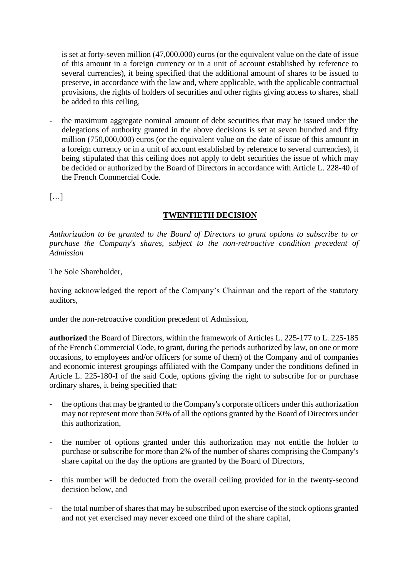is set at forty-seven million (47,000.000) euros (or the equivalent value on the date of issue of this amount in a foreign currency or in a unit of account established by reference to several currencies), it being specified that the additional amount of shares to be issued to preserve, in accordance with the law and, where applicable, with the applicable contractual provisions, the rights of holders of securities and other rights giving access to shares, shall be added to this ceiling,

the maximum aggregate nominal amount of debt securities that may be issued under the delegations of authority granted in the above decisions is set at seven hundred and fifty million (750,000,000) euros (or the equivalent value on the date of issue of this amount in a foreign currency or in a unit of account established by reference to several currencies), it being stipulated that this ceiling does not apply to debt securities the issue of which may be decided or authorized by the Board of Directors in accordance with Article L. 228-40 of the French Commercial Code.

[…]

## **TWENTIETH DECISION**

*Authorization to be granted to the Board of Directors to grant options to subscribe to or purchase the Company's shares, subject to the non-retroactive condition precedent of Admission*

The Sole Shareholder,

having acknowledged the report of the Company's Chairman and the report of the statutory auditors,

under the non-retroactive condition precedent of Admission,

**authorized** the Board of Directors, within the framework of Articles L. 225-177 to L. 225-185 of the French Commercial Code, to grant, during the periods authorized by law, on one or more occasions, to employees and/or officers (or some of them) of the Company and of companies and economic interest groupings affiliated with the Company under the conditions defined in Article L. 225-180-I of the said Code, options giving the right to subscribe for or purchase ordinary shares, it being specified that:

- the options that may be granted to the Company's corporate officers under this authorization may not represent more than 50% of all the options granted by the Board of Directors under this authorization,
- the number of options granted under this authorization may not entitle the holder to purchase or subscribe for more than 2% of the number of shares comprising the Company's share capital on the day the options are granted by the Board of Directors,
- this number will be deducted from the overall ceiling provided for in the twenty-second decision below, and
- the total number of shares that may be subscribed upon exercise of the stock options granted and not yet exercised may never exceed one third of the share capital,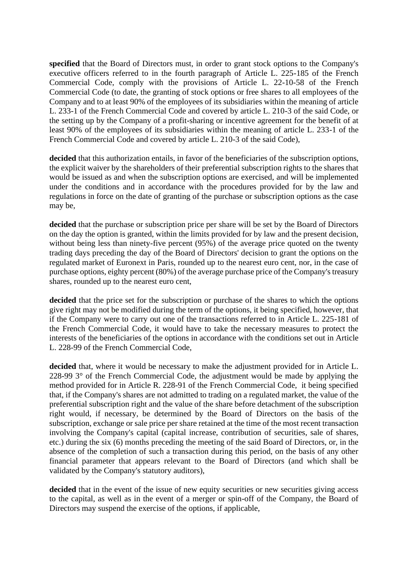**specified** that the Board of Directors must, in order to grant stock options to the Company's executive officers referred to in the fourth paragraph of Article L. 225-185 of the French Commercial Code, comply with the provisions of Article L. 22-10-58 of the French Commercial Code (to date, the granting of stock options or free shares to all employees of the Company and to at least 90% of the employees of its subsidiaries within the meaning of article L. 233-1 of the French Commercial Code and covered by article L. 210-3 of the said Code, or the setting up by the Company of a profit-sharing or incentive agreement for the benefit of at least 90% of the employees of its subsidiaries within the meaning of article L. 233-1 of the French Commercial Code and covered by article L. 210-3 of the said Code),

**decided** that this authorization entails, in favor of the beneficiaries of the subscription options, the explicit waiver by the shareholders of their preferential subscription rights to the shares that would be issued as and when the subscription options are exercised, and will be implemented under the conditions and in accordance with the procedures provided for by the law and regulations in force on the date of granting of the purchase or subscription options as the case may be,

**decided** that the purchase or subscription price per share will be set by the Board of Directors on the day the option is granted, within the limits provided for by law and the present decision, without being less than ninety-five percent (95%) of the average price quoted on the twenty trading days preceding the day of the Board of Directors' decision to grant the options on the regulated market of Euronext in Paris, rounded up to the nearest euro cent, nor, in the case of purchase options, eighty percent (80%) of the average purchase price of the Company's treasury shares, rounded up to the nearest euro cent,

**decided** that the price set for the subscription or purchase of the shares to which the options give right may not be modified during the term of the options, it being specified, however, that if the Company were to carry out one of the transactions referred to in Article L. 225-181 of the French Commercial Code, it would have to take the necessary measures to protect the interests of the beneficiaries of the options in accordance with the conditions set out in Article L. 228-99 of the French Commercial Code,

**decided** that, where it would be necessary to make the adjustment provided for in Article L. 228-99 3° of the French Commercial Code, the adjustment would be made by applying the method provided for in Article R. 228-91 of the French Commercial Code, it being specified that, if the Company's shares are not admitted to trading on a regulated market, the value of the preferential subscription right and the value of the share before detachment of the subscription right would, if necessary, be determined by the Board of Directors on the basis of the subscription, exchange or sale price per share retained at the time of the most recent transaction involving the Company's capital (capital increase, contribution of securities, sale of shares, etc.) during the six (6) months preceding the meeting of the said Board of Directors, or, in the absence of the completion of such a transaction during this period, on the basis of any other financial parameter that appears relevant to the Board of Directors (and which shall be validated by the Company's statutory auditors),

decided that in the event of the issue of new equity securities or new securities giving access to the capital, as well as in the event of a merger or spin-off of the Company, the Board of Directors may suspend the exercise of the options, if applicable,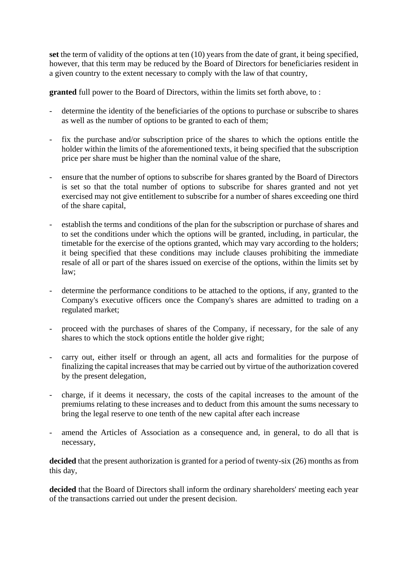**set** the term of validity of the options at ten (10) years from the date of grant, it being specified, however, that this term may be reduced by the Board of Directors for beneficiaries resident in a given country to the extent necessary to comply with the law of that country,

**granted** full power to the Board of Directors, within the limits set forth above, to :

- determine the identity of the beneficiaries of the options to purchase or subscribe to shares as well as the number of options to be granted to each of them;
- fix the purchase and/or subscription price of the shares to which the options entitle the holder within the limits of the aforementioned texts, it being specified that the subscription price per share must be higher than the nominal value of the share,
- ensure that the number of options to subscribe for shares granted by the Board of Directors is set so that the total number of options to subscribe for shares granted and not yet exercised may not give entitlement to subscribe for a number of shares exceeding one third of the share capital,
- establish the terms and conditions of the plan for the subscription or purchase of shares and to set the conditions under which the options will be granted, including, in particular, the timetable for the exercise of the options granted, which may vary according to the holders; it being specified that these conditions may include clauses prohibiting the immediate resale of all or part of the shares issued on exercise of the options, within the limits set by law;
- determine the performance conditions to be attached to the options, if any, granted to the Company's executive officers once the Company's shares are admitted to trading on a regulated market;
- proceed with the purchases of shares of the Company, if necessary, for the sale of any shares to which the stock options entitle the holder give right;
- carry out, either itself or through an agent, all acts and formalities for the purpose of finalizing the capital increases that may be carried out by virtue of the authorization covered by the present delegation,
- charge, if it deems it necessary, the costs of the capital increases to the amount of the premiums relating to these increases and to deduct from this amount the sums necessary to bring the legal reserve to one tenth of the new capital after each increase
- amend the Articles of Association as a consequence and, in general, to do all that is necessary,

decided that the present authorization is granted for a period of twenty-six (26) months as from this day,

decided that the Board of Directors shall inform the ordinary shareholders' meeting each year of the transactions carried out under the present decision.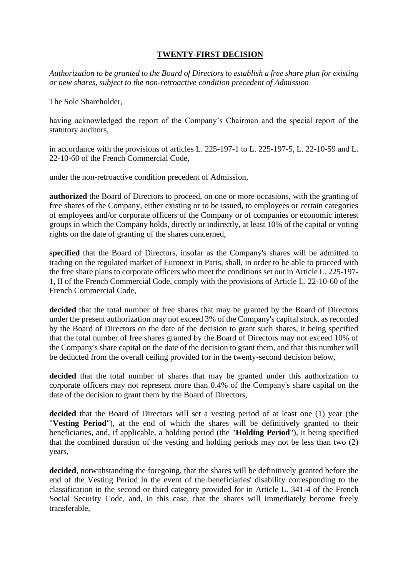## **TWENTY-FIRST DECISION**

*Authorization to be granted to the Board of Directors to establish a free share plan for existing or new shares, subject to the non-retroactive condition precedent of Admission*

The Sole Shareholder,

having acknowledged the report of the Company's Chairman and the special report of the statutory auditors,

in accordance with the provisions of articles L. 225-197-1 to L. 225-197-5, L. 22-10-59 and L. 22-10-60 of the French Commercial Code,

under the non-retroactive condition precedent of Admission,

**authorized** the Board of Directors to proceed, on one or more occasions, with the granting of free shares of the Company, either existing or to be issued, to employees or certain categories of employees and/or corporate officers of the Company or of companies or economic interest groups in which the Company holds, directly or indirectly, at least 10% of the capital or voting rights on the date of granting of the shares concerned,

**specified** that the Board of Directors, insofar as the Company's shares will be admitted to trading on the regulated market of Euronext in Paris, shall, in order to be able to proceed with the free share plans to corporate officers who meet the conditions set out in Article L. 225-197- 1, II of the French Commercial Code, comply with the provisions of Article L. 22-10-60 of the French Commercial Code,

**decided** that the total number of free shares that may be granted by the Board of Directors under the present authorization may not exceed 3% of the Company's capital stock, as recorded by the Board of Directors on the date of the decision to grant such shares, it being specified that the total number of free shares granted by the Board of Directors may not exceed 10% of the Company's share capital on the date of the decision to grant them, and that this number will be deducted from the overall ceiling provided for in the twenty-second decision below,

decided that the total number of shares that may be granted under this authorization to corporate officers may not represent more than 0.4% of the Company's share capital on the date of the decision to grant them by the Board of Directors,

decided that the Board of Directors will set a vesting period of at least one (1) year (the "**Vesting Period**"), at the end of which the shares will be definitively granted to their beneficiaries, and, if applicable, a holding period (the "**Holding Period**"), it being specified that the combined duration of the vesting and holding periods may not be less than two (2) years,

decided, notwithstanding the foregoing, that the shares will be definitively granted before the end of the Vesting Period in the event of the beneficiaries' disability corresponding to the classification in the second or third category provided for in Article L. 341-4 of the French Social Security Code, and, in this case, that the shares will immediately become freely transferable,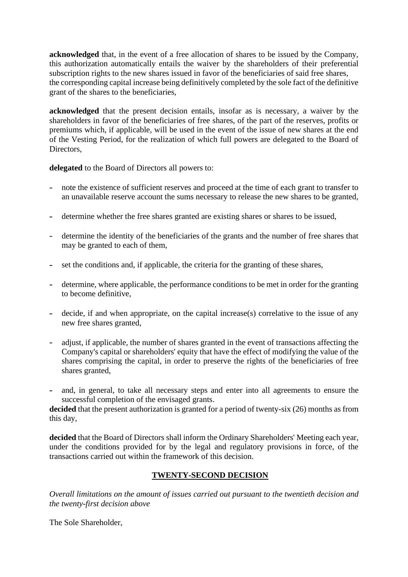**acknowledged** that, in the event of a free allocation of shares to be issued by the Company, this authorization automatically entails the waiver by the shareholders of their preferential subscription rights to the new shares issued in favor of the beneficiaries of said free shares, the corresponding capital increase being definitively completed by the sole fact of the definitive grant of the shares to the beneficiaries,

**acknowledged** that the present decision entails, insofar as is necessary, a waiver by the shareholders in favor of the beneficiaries of free shares, of the part of the reserves, profits or premiums which, if applicable, will be used in the event of the issue of new shares at the end of the Vesting Period, for the realization of which full powers are delegated to the Board of Directors.

**delegated** to the Board of Directors all powers to:

- note the existence of sufficient reserves and proceed at the time of each grant to transfer to an unavailable reserve account the sums necessary to release the new shares to be granted,
- determine whether the free shares granted are existing shares or shares to be issued,
- determine the identity of the beneficiaries of the grants and the number of free shares that may be granted to each of them,
- set the conditions and, if applicable, the criteria for the granting of these shares,
- determine, where applicable, the performance conditions to be met in order for the granting to become definitive,
- decide, if and when appropriate, on the capital increase(s) correlative to the issue of any new free shares granted,
- adjust, if applicable, the number of shares granted in the event of transactions affecting the Company's capital or shareholders' equity that have the effect of modifying the value of the shares comprising the capital, in order to preserve the rights of the beneficiaries of free shares granted,
- and, in general, to take all necessary steps and enter into all agreements to ensure the successful completion of the envisaged grants.

decided that the present authorization is granted for a period of twenty-six (26) months as from this day,

**decided** that the Board of Directors shall inform the Ordinary Shareholders' Meeting each year, under the conditions provided for by the legal and regulatory provisions in force, of the transactions carried out within the framework of this decision.

## **TWENTY-SECOND DECISION**

*Overall limitations on the amount of issues carried out pursuant to the twentieth decision and the twenty-first decision above*

The Sole Shareholder,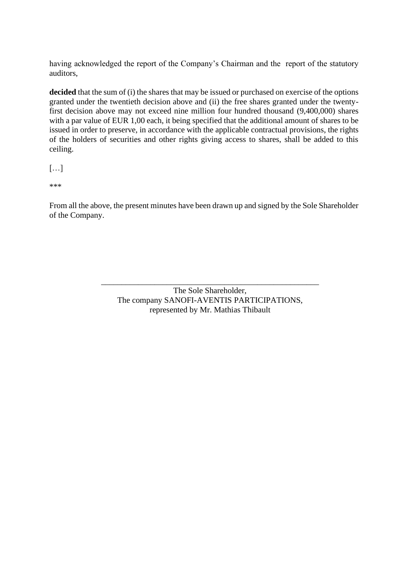having acknowledged the report of the Company's Chairman and the report of the statutory auditors,

decided that the sum of (i) the shares that may be issued or purchased on exercise of the options granted under the twentieth decision above and (ii) the free shares granted under the twentyfirst decision above may not exceed nine million four hundred thousand (9,400,000) shares with a par value of EUR 1,00 each, it being specified that the additional amount of shares to be issued in order to preserve, in accordance with the applicable contractual provisions, the rights of the holders of securities and other rights giving access to shares, shall be added to this ceiling.

```
[…]
```
\*\*\*

From all the above, the present minutes have been drawn up and signed by the Sole Shareholder of the Company.

> \_\_\_\_\_\_\_\_\_\_\_\_\_\_\_\_\_\_\_\_\_\_\_\_\_\_\_\_\_\_\_\_\_\_\_\_\_\_\_\_\_\_\_\_\_\_\_\_\_\_\_\_\_ The Sole Shareholder, The company SANOFI-AVENTIS PARTICIPATIONS, represented by Mr. Mathias Thibault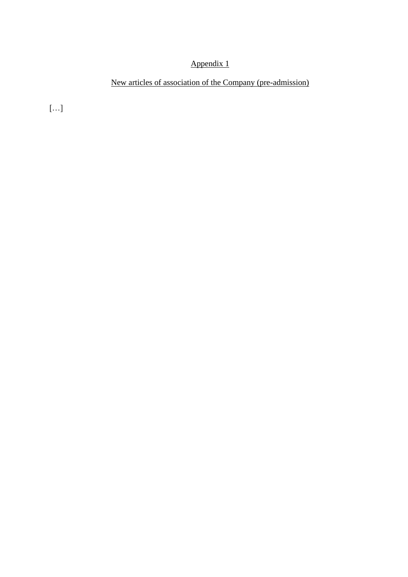# Appendix 1

# New articles of association of the Company (pre-admission)

[…]